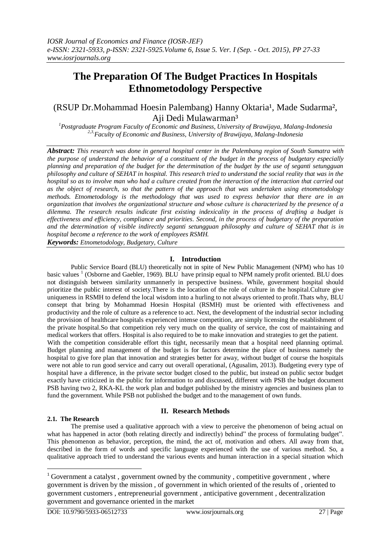# **The Preparation Of The Budget Practices In Hospitals Ethnometodology Perspective**

# (RSUP Dr.Mohammad Hoesin Palembang) Hanny Oktaria<sup>1</sup>, Made Sudarma<sup>2</sup>, Aji Dedi Mulawarman³

*<sup>1</sup>Postgraduate Program Faculty of Economic and Business, University of Brawijaya, Malang-Indonesia 2,3,Faculty of Economic and Business, University of Brawijaya, Malang-Indonesia*

*Abstract: This research was done in general hospital center in the Palembang region of South Sumatra with the purpose of understand the behavior of a constituent of the budget in the process of budgetary especially planning and preparation of the budget for the determination of the budget by the use of seganti setungguan philosophy and culture of SEHAT in hospital. This research tried to understand the social reality that was in the hospital so as to involve man who had a culture created from the interaction of the interaction that carried out as the object of research, so that the pattern of the approach that was undertaken using etnometodology methods. Etnometodology is the methodology that was used to express behavior that there are in an organization that involves the organizational structure and whose culture is characterized by the presence of a dilemma. The research results indicate first existing indexicality in the process of drafting a budget is effectiveness and efficiency, compliance and priorities. Second, in the process of budgetary of the preparation and the determination of visible indirectly seganti setungguan philosophy and culture of SEHAT that is in hospital become a reference to the work of employees RSMH. Keywords: Etnometodology, Budgetary, Culture*

# **I. Introduction**

Public Service Board (BLU) theoretically not in spite of New Public Management (NPM) who has 10 basic values<sup>1</sup> (Osborne and Gaebler, 1969). BLU have prinsip equal to NPM namely profit oriented. BLU does not distinguish between similarity unmannerly in perspective business. While, government hospital should prioritize the public interest of society.There is the location of the role of culture in the hospital.Culture give uniqueness in RSMH to defend the local wisdom into a hurling to not always oriented to profit.Thats why, BLU consept that bring by Mohammad Hoesin Hospital (RSMH) must be oriented with effectiveness and productivity and the role of culture as a reference to act. Next, the development of the industrial sector including the provision of healthcare hospitals experienced intense competition, are simply licensing the establishment of the private hospital.So that competition rely very much on the quality of service, the cost of maintaining and medical workers that offers. Hospital is also required to be to make innovation and strategies to get the patient. With the competition considerable effort this tight, necessarily mean that a hospital need planning optimal. Budget planning and management of the budget is for factors determine the place of business namely the hospital to give fore plan that innovation and strategies better for away, without budget of course the hospitals were not able to run good service and carry out overall operational, (Agusalim, 2013). Budgeting every type of hospital have a difference, in the private sector budget closed to the public, but instead on public sector budget exactly have criticized in the public for information to and discussed, different with PSB the budget document PSB having two 2, RKA-KL the work plan and budget published by the ministry agencies and business plan to fund the government. While PSB not published the budget and to the management of own funds.

# **II. Research Methods**

#### **2.1. The Research**

**.** 

The premise used a qualitative approach with a view to perceive the phenomenon of being actual on what has happened in actor (both relating directly and indirectly) behind" the process of formulating budget". This phenomenon as behavior, perception, the mind, the act of, motivation and others. All away from that, described in the form of words and specific language experienced with the use of various method. So, a qualitative approach tried to understand the various events and human interaction in a special situation which

<sup>&</sup>lt;sup>1</sup> Government a catalyst, government owned by the community, competitive government, where government is driven by the mission , of government in which oriented of the results of , oriented to government customers , entrepreneurial government , anticipative government , decentralization government and governance oriented in the market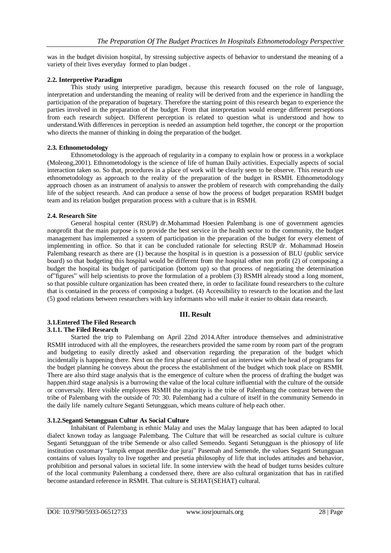was in the budget division hospital, by stressing subjective aspects of behavior to understand the meaning of a variety of their lives everyday formed to plan budget .

#### **2.2. Interpretive Paradigm**

This study using interpretive paradigm, because this research focused on the role of language, interpretation and understanding the meaning of reality will be derived from and the experience in handling the participation of the preparation of bugetary. Therefore the starting point of this research began to experience the parties involved in the preparation of the budget. From that interpretation would emerge different perseptions from each research subject. Different perception is related to question what is understood and how to understand.With differences in perception is needed an assumption held together, the concept or the proportion who directs the manner of thinking in doing the preparation of the budget.

#### **2.3. Ethnometodology**

Ethnometodology is the approach of regularity in a company to explain how or process in a workplace (Moleong,2001). Ethnometodology is the science of life of human Daily activities. Expecially aspects of social interaction taken so. So that, procedures in a place of work will be clearly seen to be observe. This research use ethnometodology as approach to the reality of the preparation of the budget in RSMH. Ethnometodology approach chosen as an instrument of analysis to answer the problem of research with comprehanding the daily life of the subject research. And can produce a sense of how the process of budget preparation RSMH budget team and its relation budget preparation process with a culture that is in RSMH.

#### **2.4. Research Site**

General hospital center (RSUP) dr.Mohammad Hoesien Palembang is one of government agencies nonprofit that the main purpose is to provide the best service in the health sector to the community, the budget management has implemented a system of participation in the preparation of the budget for every element of implementing in office. So that it can be concluded rationale for selecting RSUP dr. Mohammad Hosein Palembang research as there are (1) because the hospital is in question is a possession of BLU (public service board) so that budgeting this hospital would be different from the hospital other non profit (2) of composing a budget the hospital its budget of participation (bottom up) so that process of negotiating the determination of"figures" will help scientists to prove the formulation of a problem (3) RSMH already stood a long moment, so that possible culture organization has been created there, in order to facilitate found researchers to the culture that is contained in the process of composing a budget. (4) Accessibility to research to the location and the last (5) good relations between researchers with key informants who will make it easier to obtain data research.

# **III. Result**

# **3.1.Entered The Filed Research 3.1.1. The Filed Research**

Started the trip to Palembang on April 22nd 2014.After introduce themselves and administrative RSMH introduced with all the employees, the researchers provided the same room by room part of the program and budgeting to easily directly asked and observation regarding the preparation of the budget which incidentally is happening there. Next on the first phase of carried out an interview with the head of programs for the budget planning he conveys about the process the establishment of the budget which took place on RSMH. There are also third stage analysis that is the emergence of culture when the process of drafting the budget was happen.third stage analysis is a burrowing the value of the local culture influential with the culture of the outside or conversaly. Here visible employees RSMH the majority is the tribe of Palembang the contrast between the tribe of Palembang with the outside of 70: 30. Palembang had a culture of itself in the community Semendo in the daily life namely culture Seganti Setungguan, which means culture of help each other.

# **3.1.2.Seganti Setungguan Cultur As Social Culture**

Inhabitant of Palembang is ethnic Malay and uses the Malay language that has been adapted to local dialect known today as language Palembang. The Culture that will be researched as social culture is culture Seganti Setungguan of the tribe Semende or also called Semendo. Seganti Setungguan is the phiosopy of life institution customary "lampik empat merdike due jurai" Pasemah and Semende, the values Seganti Setungguan contains of values loyalty to live together and presetia philosophy of life that includes attitudes and behavior, prohibition and personal values in societal life. In some interview with the head of budget turns besides culture of the local community Palembang a condensed there, there are also cultural organization that has in ratified become astandard reference in RSMH. That culture is SEHAT(SEHAT) cultural.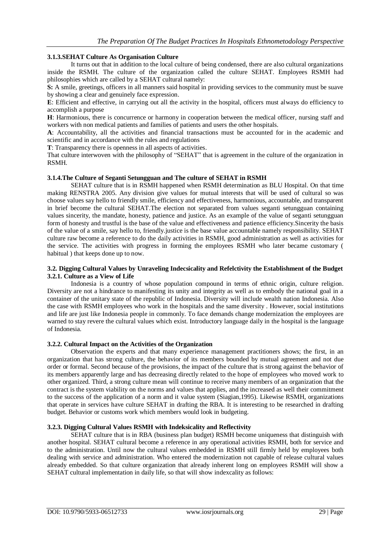# **3.1.3.SEHAT Culture As Organisation Culture**

It turns out that in addition to the local culture of being condensed, there are also cultural organizations inside the RSMH. The culture of the organization called the culture SEHAT. Employees RSMH had philosophies which are called by a SEHAT cultural namely:

**S:** A smile, greetings, officers in all manners said hospital in providing services to the community must be suave by showing a clear and genuinely face expression.

**E**: Efficient and effective, in carrying out all the activity in the hospital, officers must always do efficiency to accomplish a purpose

**H**: Harmonious, there is concurrence or harmony in cooperation between the medical officer, nursing staff and workers with non medical patients and families of patients and users the other hospitals.

**A**: Accountability, all the activities and financial transactions must be accounted for in the academic and scientific and in accordance with the rules and regulations

**T**: Transparency there is openness in all aspects of activities.

That culture interwoven with the philosophy of "SEHAT" that is agreement in the culture of the organization in RSMH.

#### **3.1.4.The Culture of Seganti Setungguan and The culture of SEHAT in RSMH**

SEHAT culture that is in RSMH happened when RSMH determination as BLU Hospital. On that time making RENSTRA 2005. Any division give values for mutual interests that will be used of cultural so was choose values say hello to friendly smile, efficiency and effectiveness, harmonious, accountable, and transparent in brief become the cultural SEHAT.The election not separated from values seganti setungguan containing values sincerity, the mandate, honesty, patience and justice. As an example of the value of seganti setungguan form of honesty and trustful is the base of the value and effectiveness and patience efficiency.Sincerity the basis of the value of a smile, say hello to, friendly.justice is the base value accountable namely responsibility. SEHAT culture raw become a reference to do the daily activities in RSMH, good administration as well as activities for the service. The activities with progress in forming the employees RSMH who later became customary ( habitual ) that keeps done up to now.

#### **3.2. Digging Cultural Values by Unraveling Indecsicality and Refelctivity the Establishment of the Budget 3.2.1. Culture as a View of Life**

Indonesia is a country of whose population compound in terms of ethnic origin, culture religion. Diversity are not a hindrance to manifesting its unity and integrity as well as to embody the national goal in a container of the unitary state of the republic of Indonesia. Diversity will include wealth nation Indonesia. Also the case with RSMH employees who work in the hospitals and the same diversity . However, social institutions and life are just like Indonesia people in commonly. To face demands change modernization the employees are warned to stay revere the cultural values which exist. Introductory language daily in the hospital is the language of Indonesia.

#### **3.2.2. Cultural Impact on the Activities of the Organization**

Observation the experts and that many experience management practitioners shows; the first, in an organization that has strong culture, the behavior of its members bounded by mutual agreement and not due order or formal. Second because of the provisions, the impact of the culture that is strong against the behavior of its members apparently large and has decreasing directly related to the hope of employees who moved work to other organized. Third, a strong culture mean will continue to receive many members of an organization that the contract is the system viability on the norms and values that applies, and the increased as well their commitment to the success of the application of a norm and it value system (Siagian,1995). Likewise RSMH, organizations that operate in services have culture SEHAT in drafting the RBA. It is interesting to be researched in drafting budget. Behavior or customs work which members would look in budgeting.

#### **3.2.3. Digging Cultural Values RSMH with Indeksicality and Reflectivity**

SEHAT culture that is in RBA (business plan budget) RSMH become uniqueness that distinguish with another hospital. SEHAT cultural become a reference in any operational activities RSMH, both for service and to the administration. Until now the cultural values embedded in RSMH still firmly held by employees both dealing with service and administration. Who entered the modernization not capable of release cultural values already embedded. So that culture organization that already inherent long on employees RSMH will show a SEHAT cultural implementation in daily life, so that will show indexcality as follows: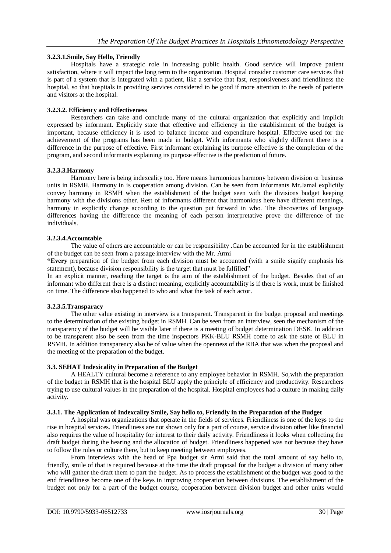#### **3.2.3.1.Smile, Say Hello, Friendly**

Hospitals have a strategic role in increasing public health. Good service will improve patient satisfaction, where it will impact the long term to the organization. Hospital consider customer care services that is part of a system that is integrated with a patient, like a service that fast, responsiveness and friendliness the hospital, so that hospitals in providing services considered to be good if more attention to the needs of patients and visitors at the hospital.

#### **3.2.3.2. Efficiency and Effectiveness**

Researchers can take and conclude many of the cultural organization that explicitly and implicit expressed by informant. Explicitly state that effective and efficiency in the establishment of the budget is important, because efficiency it is used to balance income and expenditure hospital. Effective used for the achievement of the programs has been made in budget. With informants who slightly different there is a difference in the purpose of effective. First informant explaining its purpose effective is the completion of the program, and second informants explaining its purpose effective is the prediction of future.

#### **3.2.3.3.Harmony**

Harmony here is being indexcality too. Here means harmonious harmony between division or business units in RSMH. Harmony in is cooperation among division. Can be seen from informants Mr.Jamal explicitly convey harmony in RSMH when the establishment of the budget seen with the divisions budget keeping harmony with the divisions other. Rest of informants different that harmonious here have different meanings, harmony in explicitly change according to the question put forward in who. The discoveries of language differences having the difference the meaning of each person interpretative prove the difference of the individuals.

#### **3.2.3.4.Accountable**

The value of others are accountable or can be responsibility .Can be accounted for in the establishment of the budget can be seen from a passage interview with the Mr. Armi

**"Every** preparation of the budget from each division must be accounted (with a smile signify emphasis his statement), because division responsibility is the target that must be fulfilled"

In an explicit manner, reaching the target is the aim of the establishment of the budget. Besides that of an informant who different there is a distinct meaning, explicitly accountability is if there is work, must be finished on time. The difference also happened to who and what the task of each actor.

#### **3.2.3.5.Transparacy**

The other value existing in interview is a transparent. Transparent in the budget proposal and meetings to the determination of the existing budget in RSMH. Can be seen from an interview, seen the mechanism of the transparency of the budget will be visible later if there is a meeting of budget determination DESK. In addition to be transparent also be seen from the time inspectors PKK-BLU RSMH come to ask the state of BLU in RSMH. In addition transparency also be of value when the openness of the RBA that was when the proposal and the meeting of the preparation of the budget.

#### **3.3. SEHAT Indexicality in Preparation of the Budget**

A HEALTY cultural become a reference to any employee behavior in RSMH. So,with the preparation of the budget in RSMH that is the hospital BLU apply the principle of efficiency and productivity. Researchers trying to use cultural values in the preparation of the hospital. Hospital employees had a culture in making daily activity.

#### **3.3.1. The Application of Indexcality Smile, Say hello to, Friendly in the Preparation of the Budget**

A hospital was organizations that operate in the fields of services. Friendliness is one of the keys to the rise in hospital services. Friendliness are not shown only for a part of course, service division other like financial also requires the value of hospitality for interest to their daily activity. Friendliness it looks when collecting the draft budget during the hearing and the allocation of budget. Friendliness happened was not because they have to follow the rules or culture there, but to keep meeting between employees.

From interviews with the head of Ppa budget sir Armi said that the total amount of say hello to, friendly, smile of that is required because at the time the draft proposal for the budget a division of many other who will gather the draft them to part the budget. As to process the establishment of the budget was good to the end friendliness become one of the keys in improving cooperation between divisions. The establishment of the budget not only for a part of the budget course, cooperation between division budget and other units would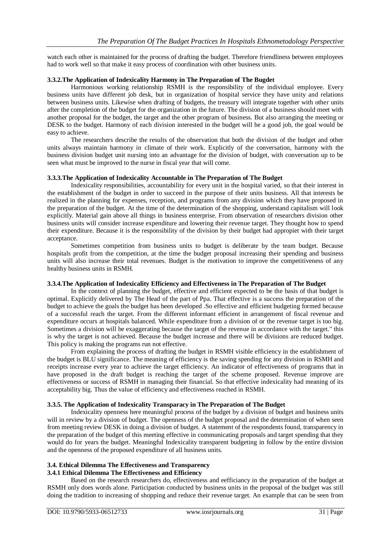watch each other is maintained for the process of drafting the budget. Therefore friendliness between employees had to work well so that make it easy process of coordination with other business units.

#### **3.3.2.The Application of Indexicality Harmony in The Preparation of The Bugdet**

Harmonious working relationship RSMH is the responsibility of the individual employee. Every business units have different job desk, but in organization of hospital service they have unity and relations between business units. Likewise when drafting of budgets, the treasury will integrate together with other units after the completion of the budget for the organization in the future. The division of a business should meet with another proposal for the budget, the target and the other program of business. But also arranging the meeting or DESK to the budget. Harmony of each division interested in the budget will be a good job, the goal would be easy to achieve.

The researchers describe the results of the observation that both the division of the budget and other units always maintain harmony in climate of their work. Explicitly of the conversation, harmony with the business division budget unit nursing into an advantage for the division of budget, with conversation up to be seen what must be improved to the nurse in fiscal year that will come.

#### **3.3.3.The Application of Indexicality Accountable in The Preparation of The Budget**

Indexicality responsibilities, accountability for every unit in the hospital varied, so that their interest in the establishment of the budget in order to succeed in the purpose of their units business. All that interests be realized in the planning for expenses, reception, and programs from any division which they have proposed in the preparation of the budget. At the time of the determination of the shopping, understand capitalism will look explicitly. Material gain above all things in business enterprise. From observation of researchers division other business units will consider increase expenditure and lowering their revenue target. They thought how to spend their expenditure. Because it is the responsibility of the division by their budget had appropiet with their target acceptance.

Sometimes competition from business units to budget is deliberate by the team budget. Because hospitals profit from the competition, at the time the budget proposal increasing their spending and business units will also increase their total revenues. Budget is the motivation to improve the competitiveness of any healthy business units in RSMH.

#### **3.3.4.The Application of Indexicality Efficiency and Effectiveness in The Preparation of The Budget**

In the context of planning the budget, effective and efficient expected to be the basis of that budget is optimal. Explicitly delivered by The Head of the part of Ppa. That effective is a success the preparation of the budget to achieve the goals the budget has been developed .So effective and efficient budgeting formed because of a successful reach the target. From the different informant efficient in arrangement of fiscal revenue and expenditure occurs at hospitals balanced. While expenditure from a division of or the revenue target is too big. Sometimes a division will be exaggerating because the target of the revenue in accordance with the target." this is why the target is not achieved. Because the budget increase and there will be divisions are reduced budget. This policy is making the programs run not effective.

From explaining the process of drafting the budget in RSMH visible efficiency in the establishment of the budget is BLU significance. The meaning of efficiency is the saving spending for any division in RSMH and receipts increase every year to achieve the target efficiency. An indicator of effectiveness of programs that in have proposed in the draft budget is reaching the target of the scheme proposed. Revenue improve are effectiveness or success of RSMH in managing their financial. So that effective indexicality had meaning of its acceptability big. Thus the value of efficiency and effectiveness reached in RSMH.

#### **3.3.5. The Application of Indexicality Transparacy in The Preparation of The Budget**

Indexicality openness here meaningful process of the budget by a division of budget and business units will in review by a division of budget. The openness of the budget proposal and the determination of when seen from meeting review DESK in doing a division of budget. A statement of the respondents found, transparency in the preparation of the budget of this meeting effective in communicating proposals and target spending that they would do for years the budget. Meaningful Indexicality transparent budgeting in follow by the entire division and the openness of the proposed expenditure of all business units.

# **3.4. Ethical Dilemma The Effectiveness and Transparency**

# **3.4.1 Ethical Dilemma The Effectiveness and Efficiency**

Based on the research researchers do, effectiveness and eefficiancy in the preparation of the budget at RSMH only does words alone. Participation conducted by business units in the proposal of the budget was still doing the tradition to increasing of shopping and reduce their revenue target. An example that can be seen from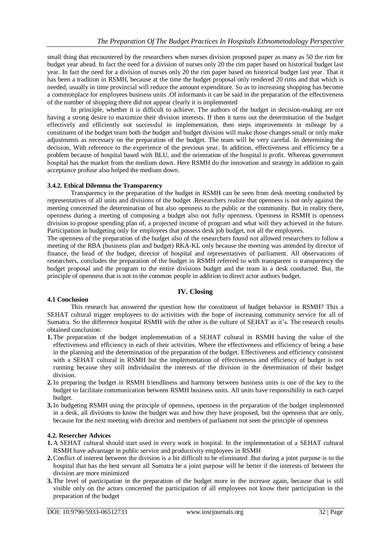small thing that encountered by the researchers when nurses division proposed paper as many as 50 the rim for budget year ahead. In fact the need for a division of nurses only 20 the rim paper based on historical budget last year. In fact the need for a division of nurses only 20 the rim paper based on historical budget last year. That it has been a tradition in RSMH, because at the time the budget proposal only rendered 20 rims and that which is needed, usually in time provincial will reduce the amount expenditure. So as to increasing shopping has become a commonplace for employees business units .Of informants it can be said in the preparation of the effectiveness of the number of shopping there did not appear clearly it is implemented

In principle, whether it is difficult to achieve. The authors of the budget in decision-making are not having a strong desire to maximize their division interests. If then it turns out the determination of the budget effectively and efficiently not successful in implementation, then steps improvements in mileage by a constituent of the budget team both the budget and budget division will make those changes small or only make adjustments as necessary on the preparation of the budget. The team will be very careful. In determining the decision, With reference to the experience of the previous year. In addition, effectiveness and efficiency be a problem because of hospital based with BLU, and the orientation of the hospital is profit. Whereas government hospital has the market from the medium down. Here RSMH do the innovation and strategy in addition to gain acceptance profuse also helped the medium down.

#### **3.4.2. Ethical Dilemma the Transparency**

Transparency in the preparation of the budget in RSMH can be seen from desk meeting conducted by representatives of all units and divisions of the budget .Researchers realize that openness is not only against the meeting concerned the determination of but also openness to the public or the community. But in reality there, openness during a meeting of composing a budget also not fully openness. Openness in RSMH is openness division to propose spending plan of, a projected income of program and what will they achieved in the future. Participation in budgeting only for employees that possess desk job budget, not all the employees.

The openness of the preparation of the budget also of the researchers found not allowed researchers to follow a meeting of the RBA (business plan and budget) RKA-KL only because the meeting was attended by director of finance, the head of the budget, director of hospital and representatives of parliament. All observations of researchers, concludes the preparation of the budget in RSMH referred to with transparent is transparency the budget proposal and the program to the entire divisions budget and the team in a desk conducted. But, the principle of openness that is not to the common people in addition to direct actor authors budget.

# **IV. Closing**

# **4.1 Conclusion**

This research has answered the question how the constituent of budget behavior in RSMH? This a SEHAT cultural trigger employees to do activities with the hope of increasing community service for all of Sumatra. So the difference hospital RSMH with the other is the culture of SEHAT as it's. The research results obtained conclusion:

- **1.** The preparation of the budget implementation of a SEHAT cultural in RSMH having the value of the effectiveness and efficiency in each of their activities. Where the effectiveness and efficiency of being a base in the planning and the determination of the preparation of the budget. Effectiveness and efficiency consistent with a SEHAT cultural in RSMH but the implementation of effectiveness and efficiency of budget is not running because they still individualist the interests of the division in the determination of their budget division.
- **2.**In preparing the budget in RSMH friendliness and harmony between business units is one of the key to the budget to facilitate communication between RSMH business units. All units have responsibility in each carpel budget.
- **3.**In budgeting RSMH using the principle of openness, openness in the preparation of the budget implemented in a desk, all divisions to know the budget was and how they have proposed, but the openness that are only, because for the next meeting with director and members of parliament not seen the principle of openness

# **4.2. Resercher Advices**

- **1.** A SEHAT cultural should start used in every work in hospital. In the implementation of a SEHAT cultural RSMH have advantage in public service and productivity employees in RSMH
- **2.**Conflict of interest between the division is a bit difficult to be eliminated .But during a joint purpose is to the hospital that has the best servant all Sumatra be a joint purpose will be better if the interests of between the division are more minimized
- **3.** The level of participation in the preparation of the budget more in the increase again, because that is still visible only on the actors concerned the participation of all employees not know their participation in the preparation of the budget